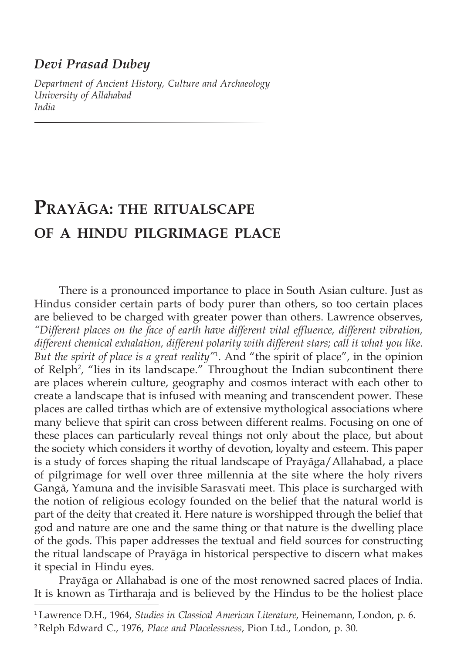## *Devi Prasad Dubey*

*Department of Ancient History, Culture and Archaeology University of Allahabad India*

# **Prayāga: the ritualscape of a hindu pilgrimage place**

There is a pronounced importance to place in South Asian culture. Just as Hindus consider certain parts of body purer than others, so too certain places are believed to be charged with greater power than others. Lawrence observes, *"Different places on the face of earth have different vital effluence, different vibration, different chemical exhalation, different polarity with different stars; call it what you like. But the spirit of place is a great reality"*<sup>1</sup> . And "the spirit of place", in the opinion of Relph<sup>2</sup>, "lies in its landscape." Throughout the Indian subcontinent there are places wherein culture, geography and cosmos interact with each other to create a landscape that is infused with meaning and transcendent power. These places are called tirthas which are of extensive mythological associations where many believe that spirit can cross between different realms. Focusing on one of these places can particularly reveal things not only about the place, but about the society which considers it worthy of devotion, loyalty and esteem. This paper is a study of forces shaping the ritual landscape of Prayāga/Allahabad, a place of pilgrimage for well over three millennia at the site where the holy rivers Gangā, Yamuna and the invisible Sarasvati meet. This place is surcharged with the notion of religious ecology founded on the belief that the natural world is part of the deity that created it. Here nature is worshipped through the belief that god and nature are one and the same thing or that nature is the dwelling place of the gods. This paper addresses the textual and field sources for constructing the ritual landscape of Prayāga in historical perspective to discern what makes it special in Hindu eyes.

Prayāga or Allahabad is one of the most renowned sacred places of India. It is known as Tirtharaja and is believed by the Hindus to be the holiest place

<sup>1</sup> Lawrence D.H., 1964, *Studies in Classical American Literature*, Heinemann, London, p. 6.

<sup>2</sup> Relph Edward C., 1976, *Place and Placelessness*, Pion Ltd., London, p. 30.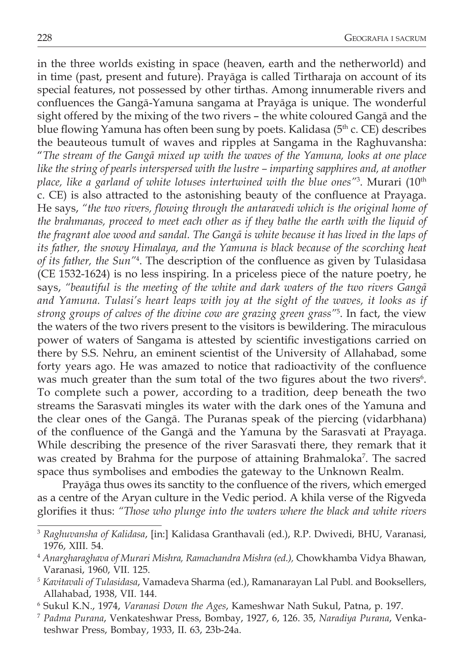in the three worlds existing in space (heaven, earth and the netherworld) and in time (past, present and future). Prayāga is called Tirtharaja on account of its special features, not possessed by other tirthas. Among innumerable rivers and confluences the Gangā-Yamuna sangama at Prayāga is unique. The wonderful sight offered by the mixing of the two rivers – the white coloured Gangā and the blue flowing Yamuna has often been sung by poets. Kalidasa (5<sup>th</sup> c. CE) describes the beauteous tumult of waves and ripples at Sangama in the Raghuvansha: "*The stream of the Gangā mixed up with the waves of the Yamuna, looks at one place like the string of pearls interspersed with the lustre – imparting sapphires and, at another place, like a garland of white lotuses intertwined with the blue ones"*<sup>3</sup> . Murari (10th c. CE) is also attracted to the astonishing beauty of the confluence at Prayaga. He says, *"the two rivers, flowing through the antaravedi which is the original home of the brahmanas, proceed to meet each other as if they bathe the earth with the liquid of the fragrant aloe wood and sandal. The Gangā is white because it has lived in the laps of its father, the snowy Himalaya, and the Yamuna is black because of the scorching heat of its father, the Sun"*<sup>4</sup> . The description of the confluence as given by Tulasidasa (CE 1532-1624) is no less inspiring. In a priceless piece of the nature poetry, he says, *"beautiful is the meeting of the white and dark waters of the two rivers Gangā and Yamuna. Tulasi's heart leaps with joy at the sight of the waves, it looks as if strong groups of calves of the divine cow are grazing green grass"*<sup>5</sup> . In fact, the view the waters of the two rivers present to the visitors is bewildering. The miraculous power of waters of Sangama is attested by scientific investigations carried on there by S.S. Nehru, an eminent scientist of the University of Allahabad, some forty years ago. He was amazed to notice that radioactivity of the confluence was much greater than the sum total of the two figures about the two rivers $6$ . To complete such a power, according to a tradition, deep beneath the two streams the Sarasvati mingles its water with the dark ones of the Yamuna and the clear ones of the Gangā. The Puranas speak of the piercing (vidarbhana) of the confluence of the Gangā and the Yamuna by the Sarasvati at Prayaga. While describing the presence of the river Sarasvati there, they remark that it was created by Brahma for the purpose of attaining Brahmaloka<sup>7</sup> . The sacred space thus symbolises and embodies the gateway to the Unknown Realm.

Prayāga thus owes its sanctity to the confluence of the rivers, which emerged as a centre of the Aryan culture in the Vedic period. A khila verse of the Rigveda glorifies it thus: *"Those who plunge into the waters where the black and white rivers* 

<sup>3</sup> *Raghuvansha of Kalidasa*, [in:] Kalidasa Granthavali (ed.), R.P. Dwivedi, BHU, Varanasi, 1976, XIII. 54.

<sup>4</sup> *Anargharaghava of Murari Mishra, Ramachandra Mishra (ed.),* Chowkhamba Vidya Bhawan, Varanasi, 1960, VII. 125.

*<sup>5</sup> Kavitavali of Tulasidasa*, Vamadeva Sharma (ed.), Ramanarayan Lal Publ. and Booksellers, Allahabad, 1938, VII. 144.

<sup>6</sup> Sukul K.N., 1974, *Varanasi Down the Ages*, Kameshwar Nath Sukul, Patna, p. 197.

<sup>7</sup> *Padma Purana*, Venkateshwar Press, Bombay, 1927, 6, 126. 35, *Naradiya Purana*, Venkateshwar Press, Bombay, 1933, II. 63, 23b-24a.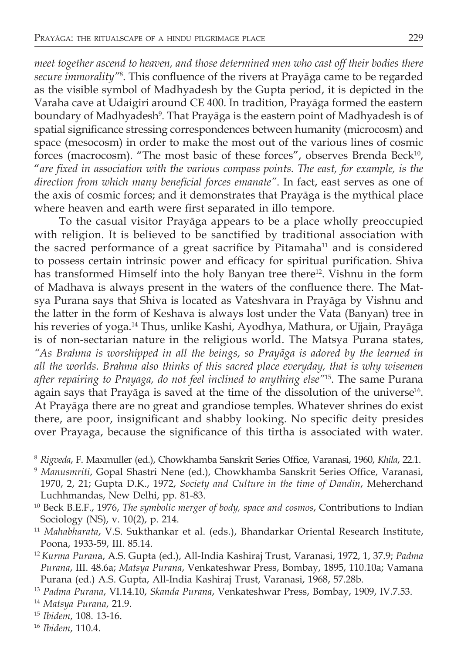*meet together ascend to heaven, and those determined men who cast off their bodies there secure immorality"*<sup>8</sup> . This confluence of the rivers at Prayāga came to be regarded as the visible symbol of Madhyadesh by the Gupta period, it is depicted in the Varaha cave at Udaigiri around CE 400. In tradition, Prayāga formed the eastern boundary of Madhyadesh<sup>9</sup>. That Prayāga is the eastern point of Madhyadesh is of spatial significance stressing correspondences between humanity (microcosm) and space (mesocosm) in order to make the most out of the various lines of cosmic forces (macrocosm). "The most basic of these forces", observes Brenda Beck<sup>10</sup>, "*are fixed in association with the various compass points. The east, for example, is the direction from which many beneficial forces emanate"*. In fact, east serves as one of the axis of cosmic forces; and it demonstrates that Prayāga is the mythical place where heaven and earth were first separated in illo tempore.

To the casual visitor Prayāga appears to be a place wholly preoccupied with religion. It is believed to be sanctified by traditional association with the sacred performance of a great sacrifice by Pitamaha<sup>11</sup> and is considered to possess certain intrinsic power and efficacy for spiritual purification. Shiva has transformed Himself into the holy Banyan tree there<sup>12</sup>. Vishnu in the form of Madhava is always present in the waters of the confluence there. The Matsya Purana says that Shiva is located as Vateshvara in Prayāga by Vishnu and the latter in the form of Keshava is always lost under the Vata (Banyan) tree in his reveries of yoga.14 Thus, unlike Kashi, Ayodhya, Mathura, or Ujjain, Prayāga is of non-sectarian nature in the religious world. The Matsya Purana states, *"As Brahma is worshipped in all the beings, so Prayāga is adored by the learned in all the worlds. Brahma also thinks of this sacred place everyday, that is why wisemen after repairing to Prayaga, do not feel inclined to anything else"*<sup>15</sup>. The same Purana again says that Prayāga is saved at the time of the dissolution of the universe<sup>16</sup>. At Prayāga there are no great and grandiose temples. Whatever shrines do exist there, are poor, insignificant and shabby looking. No specific deity presides over Prayaga, because the significance of this tirtha is associated with water.

<sup>8</sup> *Rigveda*, F. Maxmuller (ed.), Chowkhamba Sanskrit Series Office, Varanasi, 1960, *Khila*, 22.1.

<sup>9</sup> *Manusmriti*, Gopal Shastri Nene (ed.), Chowkhamba Sanskrit Series Office, Varanasi, 1970, 2, 21; Gupta D.K., 1972, *Society and Culture in the time of Dandin*, Meherchand Luchhmandas, New Delhi, pp. 81-83.

<sup>10</sup> Beck B.E.F., 1976, *The symbolic merger of body, space and cosmos*, Contributions to Indian Sociology (NS), v. 10(2), p. 214.

<sup>11</sup> *Mahabharata*, V.S. Sukthankar et al. (eds.), Bhandarkar Oriental Research Institute, Poona, 1933-59, III. 85.14.

<sup>12</sup>*Kurma Puran*a, A.S. Gupta (ed.), All-India Kashiraj Trust, Varanasi, 1972, 1, 37.9; *Padma Purana*, III. 48.6a; *Matsya Purana*, Venkateshwar Press, Bombay, 1895, 110.10a; Vamana Purana (ed.) A.S. Gupta, All-India Kashiraj Trust, Varanasi, 1968, 57.28b.

<sup>13</sup> *Padma Purana*, VI.14.10, *Skanda Purana*, Venkateshwar Press, Bombay, 1909, IV.7.53.

<sup>14</sup> *Matsya Purana*, 21.9.

<sup>15</sup> *Ibidem*, 108. 13-16.

<sup>16</sup> *Ibidem*, 110.4.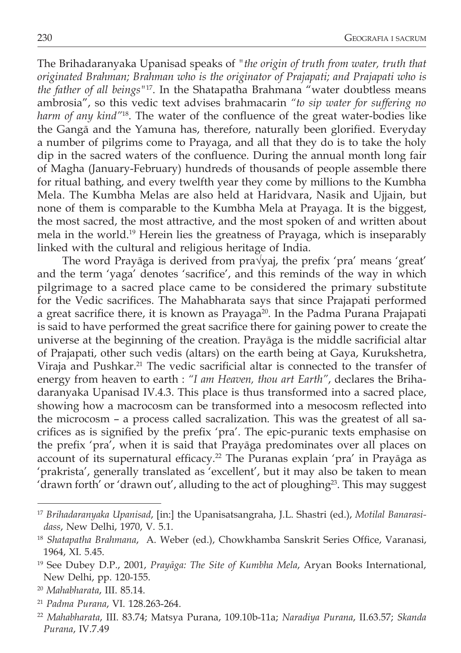The Brihadaranyaka Upanisad speaks of *"the origin of truth from water, truth that originated Brahman; Brahman who is the originator of Prajapati; and Prajapati who is the father of all beings"*17. In the Shatapatha Brahmana "water doubtless means ambrosia", so this vedic text advises brahmacarin *"to sip water for suffering no harm of any kind"*<sup>18</sup>. The water of the confluence of the great water-bodies like the Gangā and the Yamuna has, therefore, naturally been glorified. Everyday a number of pilgrims come to Prayaga, and all that they do is to take the holy dip in the sacred waters of the confluence. During the annual month long fair of Magha (January-February) hundreds of thousands of people assemble there for ritual bathing, and every twelfth year they come by millions to the Kumbha Mela. The Kumbha Melas are also held at Haridvara, Nasik and Ujjain, but none of them is comparable to the Kumbha Mela at Prayaga. It is the biggest, the most sacred, the most attractive, and the most spoken of and written about mela in the world.19 Herein lies the greatness of Prayaga, which is inseparably linked with the cultural and religious heritage of India.

The word Prayāga is derived from pra√yaj, the prefix 'pra' means 'great' and the term 'yaga' denotes 'sacrifice', and this reminds of the way in which pilgrimage to a sacred place came to be considered the primary substitute for the Vedic sacrifices. The Mahabharata says that since Prajapati performed a great sacrifice there, it is known as Prayaga<sup>20</sup>. In the Padma Purana Prajapati is said to have performed the great sacrifice there for gaining power to create the universe at the beginning of the creation. Prayāga is the middle sacrificial altar of Prajapati, other such vedis (altars) on the earth being at Gaya, Kurukshetra, Viraja and Pushkar.<sup>21</sup> The vedic sacrificial altar is connected to the transfer of energy from heaven to earth : *"I am Heaven, thou art Earth"*, declares the Brihadaranyaka Upanisad IV.4.3. This place is thus transformed into a sacred place, showing how a macrocosm can be transformed into a mesocosm reflected into the microcosm – a process called sacralization. This was the greatest of all sacrifices as is signified by the prefix 'pra'. The epic-puranic texts emphasise on the prefix 'pra', when it is said that Prayāga predominates over all places on account of its supernatural efficacy.<sup>22</sup> The Puranas explain 'pra' in Prayāga as 'prakrista', generally translated as 'excellent', but it may also be taken to mean 'drawn forth' or 'drawn out', alluding to the act of ploughing<sup>23</sup>. This may suggest

<sup>21</sup> *Padma Purana*, VI. 128.263-264.

<sup>17</sup> *Brihadaranyaka Upanisad*, [in:] the Upanisatsangraha, J.L. Shastri (ed.), *Motilal Banarasidass*, New Delhi, 1970, V. 5.1.

<sup>18</sup> *Shatapatha Brahmana*, A. Weber (ed.), Chowkhamba Sanskrit Series Office, Varanasi, 1964, XI. 5.45.

<sup>19</sup> See Dubey D.P., 2001, *Prayāga: The Site of Kumbha Mela*, Aryan Books International, New Delhi, pp. 120-155.

<sup>20</sup> *Mahabharata*, III. 85.14.

<sup>22</sup> *Mahabharata*, III. 83.74; Matsya Purana, 109.10b-11a; *Naradiya Purana*, II.63.57; *Skanda Purana*, IV.7.49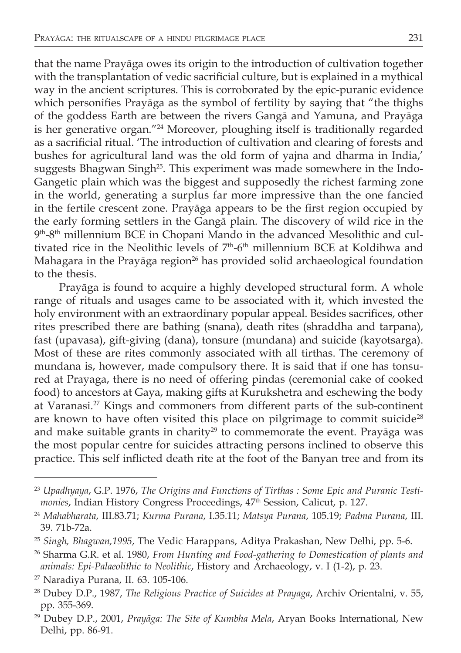that the name Prayāga owes its origin to the introduction of cultivation together with the transplantation of vedic sacrificial culture, but is explained in a mythical way in the ancient scriptures. This is corroborated by the epic-puranic evidence which personifies Prayāga as the symbol of fertility by saying that "the thighs of the goddess Earth are between the rivers Gangā and Yamuna, and Prayāga is her generative organ."24 Moreover, ploughing itself is traditionally regarded as a sacrificial ritual. 'The introduction of cultivation and clearing of forests and bushes for agricultural land was the old form of yajna and dharma in India,' suggests Bhagwan Singh<sup>25</sup>. This experiment was made somewhere in the Indo-Gangetic plain which was the biggest and supposedly the richest farming zone in the world, generating a surplus far more impressive than the one fancied in the fertile crescent zone. Prayāga appears to be the first region occupied by the early forming settlers in the Gangā plain. The discovery of wild rice in the 9th-8th millennium BCE in Chopani Mando in the advanced Mesolithic and cultivated rice in the Neolithic levels of 7<sup>th</sup>-6<sup>th</sup> millennium BCE at Koldihwa and Mahagara in the Prayāga region<sup>26</sup> has provided solid archaeological foundation to the thesis.

Prayāga is found to acquire a highly developed structural form. A whole range of rituals and usages came to be associated with it, which invested the holy environment with an extraordinary popular appeal. Besides sacrifices, other rites prescribed there are bathing (snana), death rites (shraddha and tarpana), fast (upavasa), gift-giving (dana), tonsure (mundana) and suicide (kayotsarga). Most of these are rites commonly associated with all tirthas. The ceremony of mundana is, however, made compulsory there. It is said that if one has tonsured at Prayaga, there is no need of offering pindas (ceremonial cake of cooked food) to ancestors at Gaya, making gifts at Kurukshetra and eschewing the body at Varanasi.27 Kings and commoners from different parts of the sub-continent are known to have often visited this place on pilgrimage to commit suicide<sup>28</sup> and make suitable grants in charity<sup>29</sup> to commemorate the event. Prayāga was the most popular centre for suicides attracting persons inclined to observe this practice. This self inflicted death rite at the foot of the Banyan tree and from its

<sup>23</sup> *Upadhyaya*, G.P. 1976, *The Origins and Functions of Tirthas : Some Epic and Puranic Testimonies*, Indian History Congress Proceedings, 47<sup>th</sup> Session, Calicut, p. 127.

<sup>24</sup> *Mahabharata*, III.83.71; *Kurma Purana*, I.35.11; *Matsya Purana*, 105.19; *Padma Purana*, III. 39. 71b-72a.

<sup>25</sup> *Singh, Bhagwan,1995*, The Vedic Harappans, Aditya Prakashan, New Delhi, pp. 5-6.

<sup>26</sup> Sharma G.R. et al. 1980, *From Hunting and Food-gathering to Domestication of plants and animals: Epi-Palaeolithic to Neolithic*, History and Archaeology, v. I (1-2), p. 23.

<sup>27</sup> Naradiya Purana, II. 63. 105-106.

<sup>28</sup> Dubey D.P., 1987, *The Religious Practice of Suicides at Prayaga*, Archiv Orientalni, v. 55, pp. 355-369.

<sup>29</sup> Dubey D.P., 2001, *Prayāga: The Site of Kumbha Mela*, Aryan Books International, New Delhi, pp. 86-91.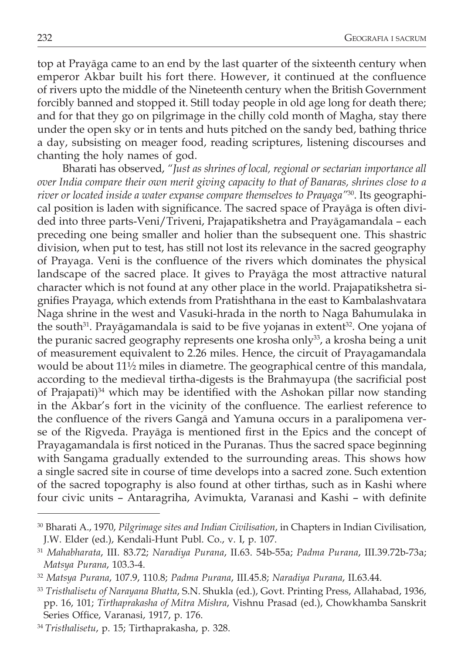top at Prayāga came to an end by the last quarter of the sixteenth century when emperor Akbar built his fort there. However, it continued at the confluence of rivers upto the middle of the Nineteenth century when the British Government forcibly banned and stopped it. Still today people in old age long for death there; and for that they go on pilgrimage in the chilly cold month of Magha, stay there under the open sky or in tents and huts pitched on the sandy bed, bathing thrice a day, subsisting on meager food, reading scriptures, listening discourses and chanting the holy names of god.

Bharati has observed, *"Just as shrines of local, regional or sectarian importance all over India compare their own merit giving capacity to that of Banaras, shrines close to a river or located inside a water expanse compare themselves to Prayaga"*30. Its geographical position is laden with significance. The sacred space of Prayāga is often divided into three parts-Veni/Triveni, Prajapatikshetra and Prayāgamandala – each preceding one being smaller and holier than the subsequent one. This shastric division, when put to test, has still not lost its relevance in the sacred geography of Prayaga. Veni is the confluence of the rivers which dominates the physical landscape of the sacred place. It gives to Prayāga the most attractive natural character which is not found at any other place in the world. Prajapatikshetra signifies Prayaga, which extends from Pratishthana in the east to Kambalashvatara Naga shrine in the west and Vasuki-hrada in the north to Naga Bahumulaka in the south $31$ . Prayāgamandala is said to be five yojanas in extent $32$ . One yojana of the puranic sacred geography represents one krosha only<sup>33</sup>, a krosha being a unit of measurement equivalent to 2.26 miles. Hence, the circuit of Prayagamandala would be about 11½ miles in diametre. The geographical centre of this mandala, according to the medieval tirtha-digests is the Brahmayupa (the sacrificial post of Prajapati)<sup>34</sup> which may be identified with the Ashokan pillar now standing in the Akbar's fort in the vicinity of the confluence. The earliest reference to the confluence of the rivers Gangā and Yamuna occurs in a paralipomena verse of the Rigveda. Prayāga is mentioned first in the Epics and the concept of Prayagamandala is first noticed in the Puranas. Thus the sacred space beginning with Sangama gradually extended to the surrounding areas. This shows how a single sacred site in course of time develops into a sacred zone. Such extention of the sacred topography is also found at other tirthas, such as in Kashi where four civic units – Antaragriha, Avimukta, Varanasi and Kashi – with definite

<sup>30</sup> Bharati A., 1970, *Pilgrimage sites and Indian Civilisation*, in Chapters in Indian Civilisation, J.W. Elder (ed.), Kendali-Hunt Publ. Co., v. I, p. 107.

<sup>31</sup> *Mahabharata*, III. 83.72; *Naradiya Purana*, II.63. 54b-55a; *Padma Purana*, III.39.72b-73a; *Matsya Purana*, 103.3-4.

<sup>32</sup> *Matsya Purana*, 107.9, 110.8; *Padma Purana*, III.45.8; *Naradiya Purana*, II.63.44.

<sup>33</sup> *Tristhalisetu of Narayana Bhatta*, S.N. Shukla (ed.), Govt. Printing Press, Allahabad, 1936, pp. 16, 101; *Tirthaprakasha of Mitra Mishra*, Vishnu Prasad (ed.), Chowkhamba Sanskrit Series Office, Varanasi, 1917, p. 176.

<sup>34</sup> *Tristhalisetu*, p. 15; Tirthaprakasha, p. 328.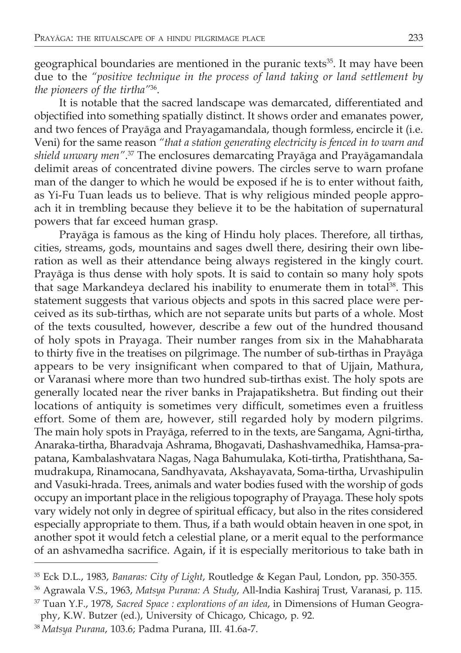geographical boundaries are mentioned in the puranic texts<sup>35</sup>. It may have been due to the *"positive technique in the process of land taking or land settlement by the pioneers of the tirtha"*36.

It is notable that the sacred landscape was demarcated, differentiated and objectified into something spatially distinct. It shows order and emanates power, and two fences of Prayāga and Prayagamandala, though formless, encircle it (i.e. Veni) for the same reason *"that a station generating electricity is fenced in to warn and shield unwary men"*. <sup>37</sup> The enclosures demarcating Prayāga and Prayāgamandala delimit areas of concentrated divine powers. The circles serve to warn profane man of the danger to which he would be exposed if he is to enter without faith, as Yi-Fu Tuan leads us to believe. That is why religious minded people approach it in trembling because they believe it to be the habitation of supernatural powers that far exceed human grasp.

Prayāga is famous as the king of Hindu holy places. Therefore, all tirthas, cities, streams, gods, mountains and sages dwell there, desiring their own liberation as well as their attendance being always registered in the kingly court. Prayāga is thus dense with holy spots. It is said to contain so many holy spots that sage Markandeya declared his inability to enumerate them in total<sup>38</sup>. This statement suggests that various objects and spots in this sacred place were perceived as its sub-tirthas, which are not separate units but parts of a whole. Most of the texts cousulted, however, describe a few out of the hundred thousand of holy spots in Prayaga. Their number ranges from six in the Mahabharata to thirty five in the treatises on pilgrimage. The number of sub-tirthas in Prayāga appears to be very insignificant when compared to that of Ujjain, Mathura, or Varanasi where more than two hundred sub-tirthas exist. The holy spots are generally located near the river banks in Prajapatikshetra. But finding out their locations of antiquity is sometimes very difficult, sometimes even a fruitless effort. Some of them are, however, still regarded holy by modern pilgrims. The main holy spots in Prayāga, referred to in the texts, are Sangama, Agni-tirtha, Anaraka-tirtha, Bharadvaja Ashrama, Bhogavati, Dashashvamedhika, Hamsa-prapatana, Kambalashvatara Nagas, Naga Bahumulaka, Koti-tirtha, Pratishthana, Samudrakupa, Rinamocana, Sandhyavata, Akshayavata, Soma-tirtha, Urvashipulin and Vasuki-hrada. Trees, animals and water bodies fused with the worship of gods occupy an important place in the religious topography of Prayaga. These holy spots vary widely not only in degree of spiritual efficacy, but also in the rites considered especially appropriate to them. Thus, if a bath would obtain heaven in one spot, in another spot it would fetch a celestial plane, or a merit equal to the performance of an ashvamedha sacrifice. Again, if it is especially meritorious to take bath in

<sup>35</sup> Eck D.L., 1983, *Banaras: City of Light*, Routledge & Kegan Paul, London, pp. 350-355.

<sup>36</sup> Agrawala V.S., 1963, *Matsya Purana: A Study*, All-India Kashiraj Trust, Varanasi, p. 115.

<sup>37</sup> Tuan Y.F., 1978, *Sacred Space : explorations of an idea*, in Dimensions of Human Geography, K.W. Butzer (ed.), University of Chicago, Chicago, p. 92.

<sup>38</sup> *Matsya Purana*, 103.6; Padma Purana, III. 41.6a-7.